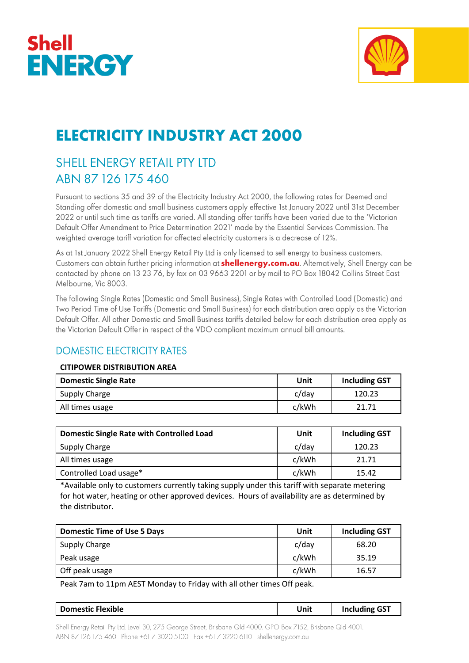



# **ELECTRICITY INDUSTRY ACT 2000**

# SHELL ENERGY RETAIL PTY LTD ABN 87 126 175 460

Pursuant to sections 35 and 39 of the Electricity Industry Act 2000, the following rates for Deemed and Standing offer domestic and small business customers apply effective 1st January 2022 until 31st December 2022 or until such time as tariffs are varied. All standing offer tariffs have been varied due to the 'Victorian Default Offer Amendment to Price Determination 2021' made by the Essential Services Commission. The weighted average tariff variation for affected electricity customers is a decrease of 12%.

As at 1st January 2022 Shell Energy Retail Pty Ltd is only licensed to sell energy to business customers. Customers can obtain further pricing information at **shellenergy.com.au**. Alternatively, Shell Energy can be contacted by phone on 13 23 76, by fax on 03 9663 2201 or by mail to PO Box 18042 Collins Street East Melbourne, Vic 8003.

The following Single Rates (Domestic and Small Business), Single Rates with Controlled Load (Domestic) and Two Period Time of Use Tariffs (Domestic and Small Business) for each distribution area apply as the Victorian Default Offer. All other Domestic and Small Business tariffs detailed below for each distribution area apply as the Victorian Default Offer in respect of the VDO compliant maximum annual bill amounts.

## **DOMESTIC ELECTRICITY RATES**

#### **CITIPOWER DISTRIBUTION AREA**

| <b>Domestic Single Rate</b> | Unit     | <b>Including GST</b> |
|-----------------------------|----------|----------------------|
| Supply Charge               | $c$ /day | 120.23               |
| All times usage             | c/kWh    | 21.71                |

| <b>Domestic Single Rate with Controlled Load</b> | Unit     | <b>Including GST</b> |
|--------------------------------------------------|----------|----------------------|
| Supply Charge                                    | $c$ /day | 120.23               |
| All times usage                                  | c/kWh    | 21.71                |
| Controlled Load usage*                           | c/kWh    | 15.42                |

\*Available only to customers currently taking supply under this tariff with separate metering for hot water, heating or other approved devices. Hours of availability are as determined by the distributor.

| <b>Domestic Time of Use 5 Days</b> | Unit  | <b>Including GST</b> |
|------------------------------------|-------|----------------------|
| Supply Charge                      | c/day | 68.20                |
| Peak usage                         | c/kWh | 35.19                |
| Off peak usage                     | c/kWh | 16.57                |

Peak 7am to 11pm AEST Monday to Friday with all other times Off peak.

| <b>Domestic Flexible</b> | Unit | <b>Including GST</b> |
|--------------------------|------|----------------------|
|                          |      |                      |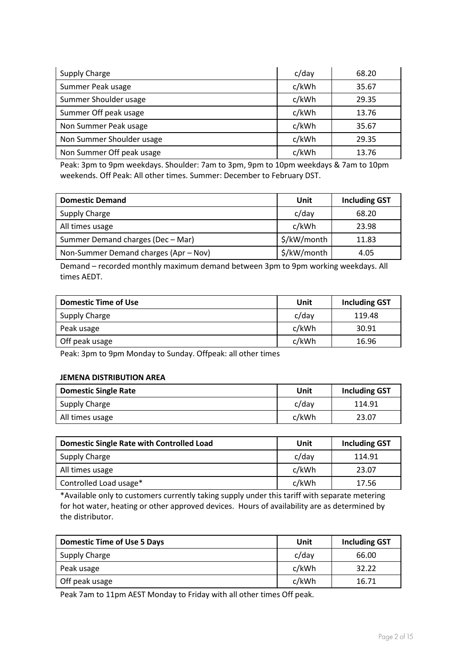| Supply Charge             | $c$ /day | 68.20 |
|---------------------------|----------|-------|
| Summer Peak usage         | c/kWh    | 35.67 |
| Summer Shoulder usage     | c/kWh    | 29.35 |
| Summer Off peak usage     | c/kWh    | 13.76 |
| Non Summer Peak usage     | c/kWh    | 35.67 |
| Non Summer Shoulder usage | c/kWh    | 29.35 |
| Non Summer Off peak usage | c/kWh    | 13.76 |

Peak: 3pm to 9pm weekdays. Shoulder: 7am to 3pm, 9pm to 10pm weekdays & 7am to 10pm weekends. Off Peak: All other times. Summer: December to February DST.

| <b>Domestic Demand</b>                | Unit        | <b>Including GST</b> |
|---------------------------------------|-------------|----------------------|
| Supply Charge                         | c/day       | 68.20                |
| All times usage                       | c/kWh       | 23.98                |
| Summer Demand charges (Dec - Mar)     | \$/kW/month | 11.83                |
| Non-Summer Demand charges (Apr - Nov) | \$/kW/month | 4.05                 |

Demand – recorded monthly maximum demand between 3pm to 9pm working weekdays. All times AEDT.

| <b>Domestic Time of Use</b> | Unit     | <b>Including GST</b> |
|-----------------------------|----------|----------------------|
| Supply Charge               | $c$ /day | 119.48               |
| Peak usage                  | c/kWh    | 30.91                |
| Off peak usage              | c/kWh    | 16.96                |

Peak: 3pm to 9pm Monday to Sunday. Offpeak: all other times

#### **JEMENA DISTRIBUTION AREA**

| <b>Domestic Single Rate</b> | Unit     | <b>Including GST</b> |
|-----------------------------|----------|----------------------|
| Supply Charge               | $c$ /day | 114.91               |
| All times usage             | c/kWh    | 23.07                |

| <b>Domestic Single Rate with Controlled Load</b> | Unit     | <b>Including GST</b> |
|--------------------------------------------------|----------|----------------------|
| <b>Supply Charge</b>                             | $c$ /day | 114.91               |
| All times usage                                  | c/kWh    | 23.07                |
| Controlled Load usage*                           | c/kWh    | 17.56                |

\*Available only to customers currently taking supply under this tariff with separate metering for hot water, heating or other approved devices. Hours of availability are as determined by the distributor.

| <b>Domestic Time of Use 5 Days</b> | Unit  | <b>Including GST</b> |
|------------------------------------|-------|----------------------|
| Supply Charge                      | c/day | 66.00                |
| Peak usage                         | c/kWh | 32.22                |
| Off peak usage                     | c/kWh | 16.71                |

Peak 7am to 11pm AEST Monday to Friday with all other times Off peak.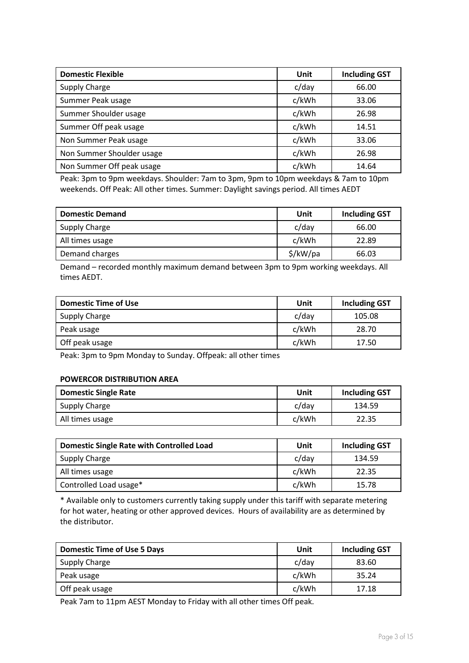| <b>Domestic Flexible</b>  | Unit  | <b>Including GST</b> |
|---------------------------|-------|----------------------|
| Supply Charge             | c/day | 66.00                |
| Summer Peak usage         | c/kWh | 33.06                |
| Summer Shoulder usage     | c/kWh | 26.98                |
| Summer Off peak usage     | c/kWh | 14.51                |
| Non Summer Peak usage     | c/kWh | 33.06                |
| Non Summer Shoulder usage | c/kWh | 26.98                |
| Non Summer Off peak usage | c/kWh | 14.64                |

Peak: 3pm to 9pm weekdays. Shoulder: 7am to 3pm, 9pm to 10pm weekdays & 7am to 10pm weekends. Off Peak: All other times. Summer: Daylight savings period. All times AEDT

| <b>Domestic Demand</b> | Unit     | <b>Including GST</b> |
|------------------------|----------|----------------------|
| Supply Charge          | c/day    | 66.00                |
| All times usage        | c/kWh    | 22.89                |
| Demand charges         | \$/kW/pa | 66.03                |

Demand – recorded monthly maximum demand between 3pm to 9pm working weekdays. All times AEDT.

| <b>Domestic Time of Use</b> | Unit  | <b>Including GST</b> |
|-----------------------------|-------|----------------------|
| <b>Supply Charge</b>        | c/day | 105.08               |
| Peak usage                  | c/kWh | 28.70                |
| Off peak usage              | c/kWh | 17.50                |

Peak: 3pm to 9pm Monday to Sunday. Offpeak: all other times

#### **POWERCOR DISTRIBUTION AREA**

| <b>Domestic Single Rate</b> | Unit     | <b>Including GST</b> |
|-----------------------------|----------|----------------------|
| Supply Charge               | $c$ /day | 134.59               |
| All times usage             | c/kWh    | 22.35                |

| <b>Domestic Single Rate with Controlled Load</b> | Unit  | <b>Including GST</b> |
|--------------------------------------------------|-------|----------------------|
| Supply Charge                                    | c/day | 134.59               |
| All times usage                                  | c/kWh | 22.35                |
| Controlled Load usage*                           | c/kWh | 15.78                |

\* Available only to customers currently taking supply under this tariff with separate metering for hot water, heating or other approved devices. Hours of availability are as determined by the distributor.

| <b>Domestic Time of Use 5 Days</b> | Unit  | <b>Including GST</b> |
|------------------------------------|-------|----------------------|
| Supply Charge                      | c/day | 83.60                |
| Peak usage                         | c/kWh | 35.24                |
| Off peak usage                     | c/kWh | 17.18                |

Peak 7am to 11pm AEST Monday to Friday with all other times Off peak.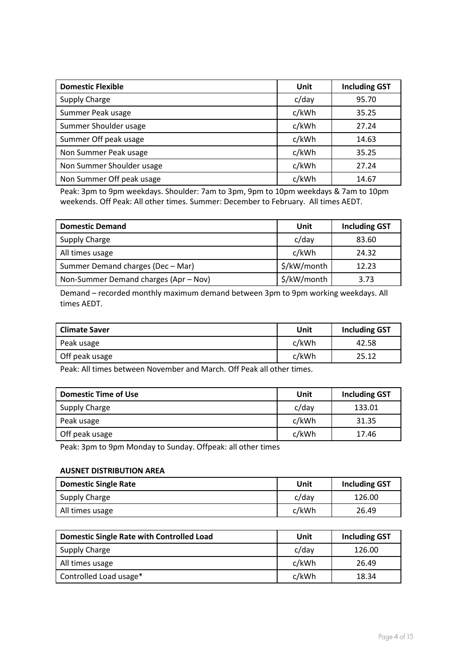| <b>Domestic Flexible</b>  | Unit  | <b>Including GST</b> |
|---------------------------|-------|----------------------|
| Supply Charge             | c/day | 95.70                |
| Summer Peak usage         | c/kWh | 35.25                |
| Summer Shoulder usage     | c/kWh | 27.24                |
| Summer Off peak usage     | c/kWh | 14.63                |
| Non Summer Peak usage     | c/kWh | 35.25                |
| Non Summer Shoulder usage | c/kWh | 27.24                |
| Non Summer Off peak usage | c/kWh | 14.67                |

Peak: 3pm to 9pm weekdays. Shoulder: 7am to 3pm, 9pm to 10pm weekdays & 7am to 10pm weekends. Off Peak: All other times. Summer: December to February. All times AEDT.

| <b>Domestic Demand</b>                | Unit        | <b>Including GST</b> |
|---------------------------------------|-------------|----------------------|
| Supply Charge                         | c/day       | 83.60                |
| All times usage                       | c/kWh       | 24.32                |
| Summer Demand charges (Dec - Mar)     | \$/kW/month | 12.23                |
| Non-Summer Demand charges (Apr - Nov) | \$/kW/month | 3.73                 |

Demand – recorded monthly maximum demand between 3pm to 9pm working weekdays. All times AEDT.

| <b>Climate Saver</b> | Unit  | <b>Including GST</b> |
|----------------------|-------|----------------------|
| Peak usage           | c/kWh | 42.58                |
| Off peak usage       | c/kWh | 25.12                |

Peak: All times between November and March. Off Peak all other times.

| <b>Domestic Time of Use</b> | Unit     | <b>Including GST</b> |
|-----------------------------|----------|----------------------|
| Supply Charge               | $c$ /day | 133.01               |
| Peak usage                  | c/kWh    | 31.35                |
| Off peak usage              | c/kWh    | 17.46                |

Peak: 3pm to 9pm Monday to Sunday. Offpeak: all other times

#### **AUSNET DISTRIBUTION AREA**

| <b>Domestic Single Rate</b> | Unit     | <b>Including GST</b> |
|-----------------------------|----------|----------------------|
| Supply Charge               | $c$ /day | 126.00               |
| All times usage             | c/kWh    | 26.49                |

| <b>Domestic Single Rate with Controlled Load</b> | Unit  | <b>Including GST</b> |
|--------------------------------------------------|-------|----------------------|
| Supply Charge                                    | c/day | 126.00               |
| All times usage                                  | c/kWh | 26.49                |
| Controlled Load usage*                           | c/kWh | 18.34                |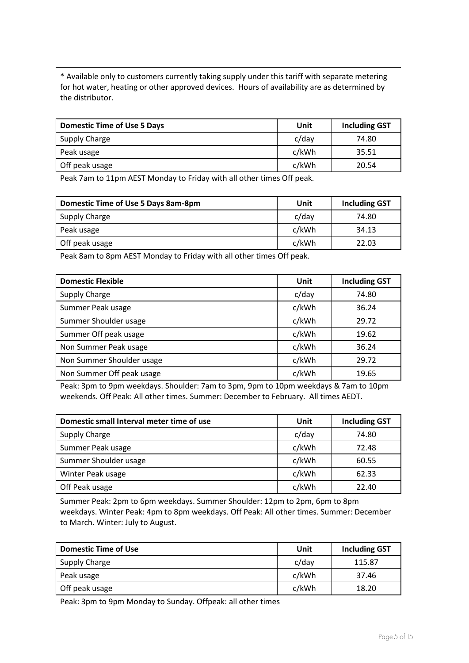\* Available only to customers currently taking supply under this tariff with separate metering for hot water, heating or other approved devices. Hours of availability are as determined by the distributor.

| <b>Domestic Time of Use 5 Days</b> | Unit  | <b>Including GST</b> |
|------------------------------------|-------|----------------------|
| Supply Charge                      | c/day | 74.80                |
| Peak usage                         | c/kWh | 35.51                |
| Off peak usage                     | c/kWh | 20.54                |

Peak 7am to 11pm AEST Monday to Friday with all other times Off peak.

| Domestic Time of Use 5 Days 8am-8pm | Unit     | <b>Including GST</b> |
|-------------------------------------|----------|----------------------|
| Supply Charge                       | $c$ /day | 74.80                |
| Peak usage                          | c/kWh    | 34.13                |
| Off peak usage                      | c/kWh    | 22.03                |

Peak 8am to 8pm AEST Monday to Friday with all other times Off peak.

| <b>Domestic Flexible</b>  | Unit  | <b>Including GST</b> |
|---------------------------|-------|----------------------|
| <b>Supply Charge</b>      | c/day | 74.80                |
| Summer Peak usage         | c/kWh | 36.24                |
| Summer Shoulder usage     | c/kWh | 29.72                |
| Summer Off peak usage     | c/kWh | 19.62                |
| Non Summer Peak usage     | c/kWh | 36.24                |
| Non Summer Shoulder usage | c/kWh | 29.72                |
| Non Summer Off peak usage | c/kWh | 19.65                |

Peak: 3pm to 9pm weekdays. Shoulder: 7am to 3pm, 9pm to 10pm weekdays & 7am to 10pm weekends. Off Peak: All other times. Summer: December to February. All times AEDT.

| Domestic small Interval meter time of use | Unit     | <b>Including GST</b> |
|-------------------------------------------|----------|----------------------|
| <b>Supply Charge</b>                      | $c$ /day | 74.80                |
| Summer Peak usage                         | c/kWh    | 72.48                |
| Summer Shoulder usage                     | c/kWh    | 60.55                |
| Winter Peak usage                         | c/kWh    | 62.33                |
| Off Peak usage                            | c/kWh    | 22.40                |

Summer Peak: 2pm to 6pm weekdays. Summer Shoulder: 12pm to 2pm, 6pm to 8pm weekdays. Winter Peak: 4pm to 8pm weekdays. Off Peak: All other times. Summer: December to March. Winter: July to August.

| <b>Domestic Time of Use</b> | Unit     | <b>Including GST</b> |
|-----------------------------|----------|----------------------|
| Supply Charge               | $c$ /day | 115.87               |
| Peak usage                  | c/kWh    | 37.46                |
| Off peak usage              | c/kWh    | 18.20                |

Peak: 3pm to 9pm Monday to Sunday. Offpeak: all other times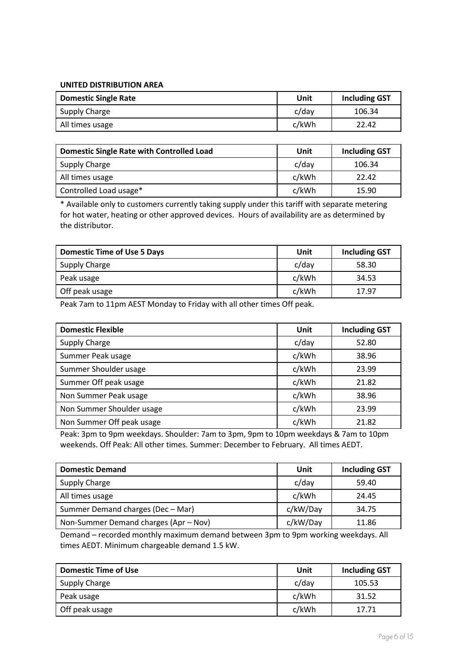#### **UNITED DISTRIBUTION AREA**

| <b>Domestic Single Rate</b> | Unit  | <b>Including GST</b> |
|-----------------------------|-------|----------------------|
| <b>Supply Charge</b>        | c/dav | 106.34               |
| All times usage             | c/kWh | 22.42                |

| <b>Domestic Single Rate with Controlled Load</b> | Unit  | <b>Including GST</b> |
|--------------------------------------------------|-------|----------------------|
| Supply Charge                                    | c/day | 106.34               |
| All times usage                                  | c/kWh | 22.42                |
| Controlled Load usage*                           | c/kWh | 15.90                |

\* Available only to customers currently taking supply under this tariff with separate metering for hot water, heating or other approved devices. Hours of availability are as determined by the distributor.

| <b>Domestic Time of Use 5 Days</b> | Unit  | <b>Including GST</b> |
|------------------------------------|-------|----------------------|
| <b>Supply Charge</b>               | c/day | 58.30                |
| Peak usage                         | c/kWh | 34.53                |
| Off peak usage                     | c/kWh | 17.97                |

Peak 7am to 11pm AEST Monday to Friday with all other times Off peak.

| <b>Domestic Flexible</b>  | Unit  | <b>Including GST</b> |
|---------------------------|-------|----------------------|
| Supply Charge             | c/day | 52.80                |
| Summer Peak usage         | c/kWh | 38.96                |
| Summer Shoulder usage     | c/kWh | 23.99                |
| Summer Off peak usage     | c/kWh | 21.82                |
| Non Summer Peak usage     | c/kWh | 38.96                |
| Non Summer Shoulder usage | c/kWh | 23.99                |
| Non Summer Off peak usage | c/kWh | 21.82                |

Peak: 3pm to 9pm weekdays. Shoulder: 7am to 3pm, 9pm to 10pm weekdays & 7am to 10pm weekends. Off Peak: All other times. Summer: December to February. All times AEDT.

| <b>Domestic Demand</b>                | Unit     | <b>Including GST</b> |
|---------------------------------------|----------|----------------------|
| Supply Charge                         | $c$ /day | 59.40                |
| All times usage                       | c/kWh    | 24.45                |
| Summer Demand charges (Dec - Mar)     | c/kW/Day | 34.75                |
| Non-Summer Demand charges (Apr - Nov) | c/kW/Day | 11.86                |

Demand – recorded monthly maximum demand between 3pm to 9pm working weekdays. All times AEDT. Minimum chargeable demand 1.5 kW.

| <b>Domestic Time of Use</b> | Unit  | <b>Including GST</b> |
|-----------------------------|-------|----------------------|
| Supply Charge               | c/day | 105.53               |
| Peak usage                  | c/kWh | 31.52                |
| Off peak usage              | c/kWh | 17.71                |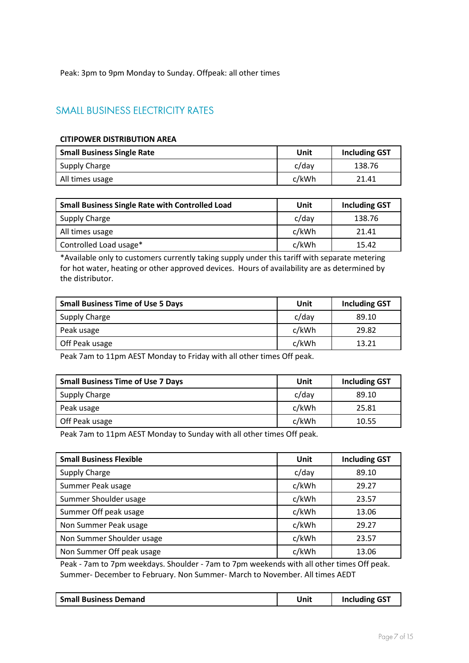Peak: 3pm to 9pm Monday to Sunday. Offpeak: all other times

### **SMALL BUSINESS ELECTRICITY RATES**

#### **CITIPOWER DISTRIBUTION AREA**

| <b>Small Business Single Rate</b> | Unit  | <b>Including GST</b> |
|-----------------------------------|-------|----------------------|
| Supply Charge                     | c/day | 138.76               |
| All times usage                   | c/kWh | 21.41                |

| <b>Small Business Single Rate with Controlled Load</b> | Unit     | <b>Including GST</b> |
|--------------------------------------------------------|----------|----------------------|
| Supply Charge                                          | $c$ /day | 138.76               |
| All times usage                                        | c/kWh    | 21.41                |
| Controlled Load usage*                                 | c/kWh    | 15.42                |

\*Available only to customers currently taking supply under this tariff with separate metering for hot water, heating or other approved devices. Hours of availability are as determined by the distributor.

| <b>Small Business Time of Use 5 Days</b> | Unit  | <b>Including GST</b> |
|------------------------------------------|-------|----------------------|
| Supply Charge                            | c/day | 89.10                |
| Peak usage                               | c/kWh | 29.82                |
| Off Peak usage                           | c/kWh | 13.21                |

Peak 7am to 11pm AEST Monday to Friday with all other times Off peak.

| <b>Small Business Time of Use 7 Days</b> | Unit  | <b>Including GST</b> |
|------------------------------------------|-------|----------------------|
| Supply Charge                            | c/day | 89.10                |
| Peak usage                               | c/kWh | 25.81                |
| Off Peak usage                           | c/kWh | 10.55                |

Peak 7am to 11pm AEST Monday to Sunday with all other times Off peak.

| <b>Small Business Flexible</b> | Unit  | <b>Including GST</b> |
|--------------------------------|-------|----------------------|
| Supply Charge                  | c/day | 89.10                |
| Summer Peak usage              | c/kWh | 29.27                |
| Summer Shoulder usage          | c/kWh | 23.57                |
| Summer Off peak usage          | c/kWh | 13.06                |
| Non Summer Peak usage          | c/kWh | 29.27                |
| Non Summer Shoulder usage      | c/kWh | 23.57                |
| Non Summer Off peak usage      | c/kWh | 13.06                |

Peak - 7am to 7pm weekdays. Shoulder - 7am to 7pm weekends with all other times Off peak. Summer- December to February. Non Summer- March to November. All times AEDT

| <b>Small Business Demand</b> | Unit | <b>Including GST</b> |
|------------------------------|------|----------------------|
|------------------------------|------|----------------------|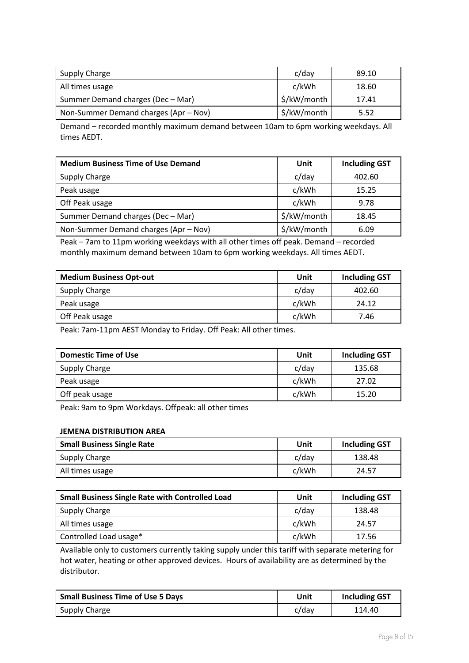| Supply Charge                         | c/day       | 89.10 |
|---------------------------------------|-------------|-------|
| All times usage                       | c/kWh       | 18.60 |
| Summer Demand charges (Dec - Mar)     | \$/kW/month | 17.41 |
| Non-Summer Demand charges (Apr – Nov) | \$/kW/month | 5.52  |

Demand – recorded monthly maximum demand between 10am to 6pm working weekdays. All times AEDT.

| <b>Medium Business Time of Use Demand</b> | Unit        | <b>Including GST</b> |
|-------------------------------------------|-------------|----------------------|
| <b>Supply Charge</b>                      | c/day       | 402.60               |
| Peak usage                                | c/kWh       | 15.25                |
| Off Peak usage                            | c/kWh       | 9.78                 |
| Summer Demand charges (Dec - Mar)         | \$/kW/month | 18.45                |
| Non-Summer Demand charges (Apr - Nov)     | \$/kW/month | 6.09                 |

Peak – 7am to 11pm working weekdays with all other times off peak. Demand – recorded monthly maximum demand between 10am to 6pm working weekdays. All times AEDT.

| <b>Medium Business Opt-out</b> | Unit     | <b>Including GST</b> |
|--------------------------------|----------|----------------------|
| Supply Charge                  | $c$ /day | 402.60               |
| Peak usage                     | c/kWh    | 24.12                |
| Off Peak usage                 | c/kWh    | 7.46                 |

Peak: 7am-11pm AEST Monday to Friday. Off Peak: All other times.

| <b>Domestic Time of Use</b> | Unit     | <b>Including GST</b> |
|-----------------------------|----------|----------------------|
| Supply Charge               | $c$ /day | 135.68               |
| Peak usage                  | c/kWh    | 27.02                |
| Off peak usage              | c/kWh    | 15.20                |

Peak: 9am to 9pm Workdays. Offpeak: all other times

#### **JEMENA DISTRIBUTION AREA**

| <b>Small Business Single Rate</b> | Unit  | <b>Including GST</b> |
|-----------------------------------|-------|----------------------|
| Supply Charge                     | c/dav | 138.48               |
| All times usage                   | c/kWh | 24.57                |

| <b>Small Business Single Rate with Controlled Load</b> | Unit     | <b>Including GST</b> |
|--------------------------------------------------------|----------|----------------------|
| Supply Charge                                          | $c$ /day | 138.48               |
| All times usage                                        | c/kWh    | 24.57                |
| Controlled Load usage*                                 | c/kWh    | 17.56                |

Available only to customers currently taking supply under this tariff with separate metering for hot water, heating or other approved devices. Hours of availability are as determined by the distributor.

| <b>Small Business Time of Use 5 Days</b> | Unit  | <b>Including GST</b> |
|------------------------------------------|-------|----------------------|
| Supply Charge                            | c/dav | 114.40               |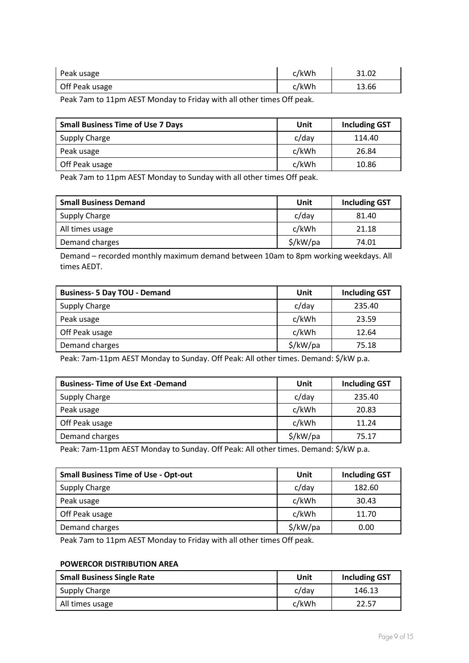| Peak usage     | c/kWh | 31.02 |
|----------------|-------|-------|
| Off Peak usage | c/kWh | 13.66 |

Peak 7am to 11pm AEST Monday to Friday with all other times Off peak.

| <b>Small Business Time of Use 7 Days</b> | Unit  | <b>Including GST</b> |
|------------------------------------------|-------|----------------------|
| Supply Charge                            | c/day | 114.40               |
| Peak usage                               | c/kWh | 26.84                |
| Off Peak usage                           | c/kWh | 10.86                |

Peak 7am to 11pm AEST Monday to Sunday with all other times Off peak.

| <b>Small Business Demand</b> | Unit     | <b>Including GST</b> |
|------------------------------|----------|----------------------|
| Supply Charge                | c/day    | 81.40                |
| All times usage              | c/kWh    | 21.18                |
| Demand charges               | \$/kW/pa | 74.01                |

Demand – recorded monthly maximum demand between 10am to 8pm working weekdays. All times AEDT.

| <b>Business- 5 Day TOU - Demand</b> | Unit     | <b>Including GST</b> |
|-------------------------------------|----------|----------------------|
| Supply Charge                       | $c$ /day | 235.40               |
| Peak usage                          | c/kWh    | 23.59                |
| Off Peak usage                      | c/kWh    | 12.64                |
| Demand charges                      | \$/kW/pa | 75.18                |

Peak: 7am-11pm AEST Monday to Sunday. Off Peak: All other times. Demand: \$/kW p.a.

| <b>Business-Time of Use Ext -Demand</b> | Unit     | <b>Including GST</b> |
|-----------------------------------------|----------|----------------------|
| <b>Supply Charge</b>                    | $c$ /day | 235.40               |
| Peak usage                              | c/kWh    | 20.83                |
| Off Peak usage                          | c/kWh    | 11.24                |
| Demand charges                          | \$/kW/pa | 75.17                |

Peak: 7am-11pm AEST Monday to Sunday. Off Peak: All other times. Demand: \$/kW p.a.

| <b>Small Business Time of Use - Opt-out</b> | Unit     | <b>Including GST</b> |
|---------------------------------------------|----------|----------------------|
| Supply Charge                               | $c$ /day | 182.60               |
| Peak usage                                  | c/kWh    | 30.43                |
| Off Peak usage                              | c/kWh    | 11.70                |
| Demand charges                              | \$/kW/pa | 0.00                 |

Peak 7am to 11pm AEST Monday to Friday with all other times Off peak.

#### **POWERCOR DISTRIBUTION AREA**

| <b>Small Business Single Rate</b> | Unit  | <b>Including GST</b> |
|-----------------------------------|-------|----------------------|
| Supply Charge                     | c/dav | 146.13               |
| All times usage                   | c/kWh | 22.57                |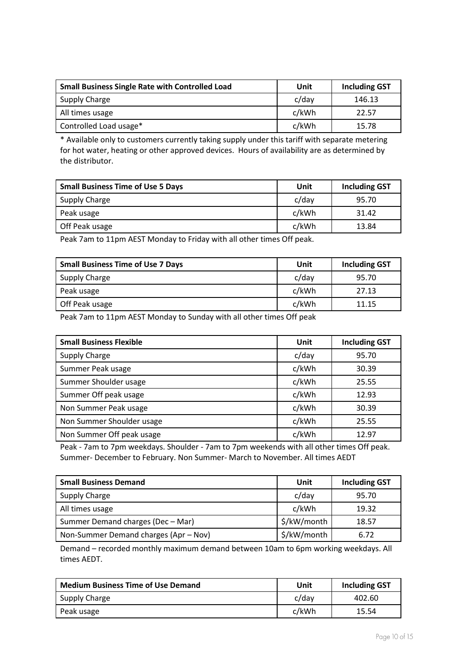| <b>Small Business Single Rate with Controlled Load</b> | Unit  | <b>Including GST</b> |
|--------------------------------------------------------|-------|----------------------|
| Supply Charge                                          | c/day | 146.13               |
| All times usage                                        | c/kWh | 22.57                |
| Controlled Load usage*                                 | c/kWh | 15.78                |

\* Available only to customers currently taking supply under this tariff with separate metering for hot water, heating or other approved devices. Hours of availability are as determined by the distributor.

| <b>Small Business Time of Use 5 Days</b> | Unit  | <b>Including GST</b> |
|------------------------------------------|-------|----------------------|
| Supply Charge                            | c/day | 95.70                |
| Peak usage                               | c/kWh | 31.42                |
| Off Peak usage                           | c/kWh | 13.84                |

Peak 7am to 11pm AEST Monday to Friday with all other times Off peak.

| <b>Small Business Time of Use 7 Days</b> | Unit     | <b>Including GST</b> |
|------------------------------------------|----------|----------------------|
| Supply Charge                            | $c$ /day | 95.70                |
| Peak usage                               | c/kWh    | 27.13                |
| Off Peak usage                           | c/kWh    | 11.15                |

Peak 7am to 11pm AEST Monday to Sunday with all other times Off peak

| <b>Small Business Flexible</b> | Unit  | <b>Including GST</b> |
|--------------------------------|-------|----------------------|
| <b>Supply Charge</b>           | c/day | 95.70                |
| Summer Peak usage              | c/kWh | 30.39                |
| Summer Shoulder usage          | c/kWh | 25.55                |
| Summer Off peak usage          | c/kWh | 12.93                |
| Non Summer Peak usage          | c/kWh | 30.39                |
| Non Summer Shoulder usage      | c/kWh | 25.55                |
| Non Summer Off peak usage      | c/kWh | 12.97                |

Peak - 7am to 7pm weekdays. Shoulder - 7am to 7pm weekends with all other times Off peak. Summer- December to February. Non Summer- March to November. All times AEDT

| <b>Small Business Demand</b>          | Unit        | <b>Including GST</b> |
|---------------------------------------|-------------|----------------------|
| Supply Charge                         | $c$ /day    | 95.70                |
| All times usage                       | c/kWh       | 19.32                |
| Summer Demand charges (Dec - Mar)     | \$/kW/month | 18.57                |
| Non-Summer Demand charges (Apr - Nov) | \$/kW/month | 6.72                 |

Demand – recorded monthly maximum demand between 10am to 6pm working weekdays. All times AEDT.

| <b>Medium Business Time of Use Demand</b> | Unit  | <b>Including GST</b> |
|-------------------------------------------|-------|----------------------|
| Supply Charge                             | c/dav | 402.60               |
| Peak usage                                | c/kWh | 15.54                |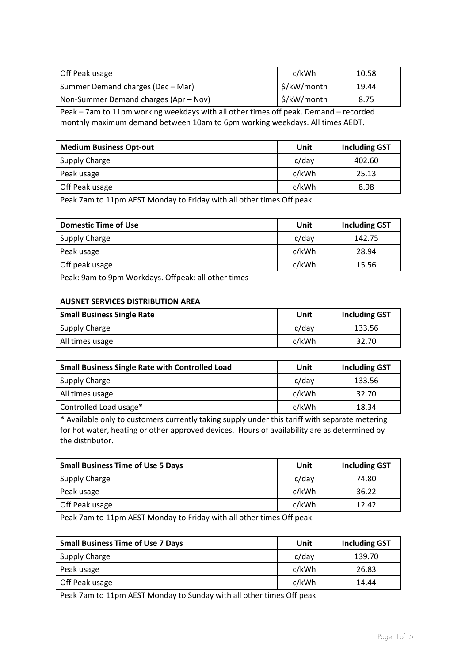| Off Peak usage                        | c/kWh       | 10.58 |
|---------------------------------------|-------------|-------|
| Summer Demand charges (Dec - Mar)     | \$/kW/month | 19.44 |
| Non-Summer Demand charges (Apr – Nov) | \$/kW/month | 8.75  |
|                                       | --          |       |

Peak – 7am to 11pm working weekdays with all other times off peak. Demand – recorded monthly maximum demand between 10am to 6pm working weekdays. All times AEDT.

| <b>Medium Business Opt-out</b> | Unit  | <b>Including GST</b> |
|--------------------------------|-------|----------------------|
| Supply Charge                  | c/day | 402.60               |
| Peak usage                     | c/kWh | 25.13                |
| Off Peak usage                 | c/kWh | 8.98                 |

Peak 7am to 11pm AEST Monday to Friday with all other times Off peak.

| <b>Domestic Time of Use</b> | Unit  | <b>Including GST</b> |
|-----------------------------|-------|----------------------|
| Supply Charge               | c/day | 142.75               |
| Peak usage                  | c/kWh | 28.94                |
| Off peak usage              | c/kWh | 15.56                |

Peak: 9am to 9pm Workdays. Offpeak: all other times

#### **AUSNET SERVICES DISTRIBUTION AREA**

| <b>Small Business Single Rate</b> | Unit     | <b>Including GST</b> |
|-----------------------------------|----------|----------------------|
| Supply Charge                     | $c$ /day | 133.56               |
| All times usage                   | c/kWh    | 32.70                |

| <b>Small Business Single Rate with Controlled Load</b> | Unit     | <b>Including GST</b> |
|--------------------------------------------------------|----------|----------------------|
| Supply Charge                                          | $c$ /day | 133.56               |
| All times usage                                        | c/kWh    | 32.70                |
| Controlled Load usage*                                 | c/kWh    | 18.34                |

\* Available only to customers currently taking supply under this tariff with separate metering for hot water, heating or other approved devices. Hours of availability are as determined by the distributor.

| <b>Small Business Time of Use 5 Days</b> | Unit  | <b>Including GST</b> |
|------------------------------------------|-------|----------------------|
| Supply Charge                            | c/day | 74.80                |
| Peak usage                               | c/kWh | 36.22                |
| Off Peak usage                           | c/kWh | 12.42                |

Peak 7am to 11pm AEST Monday to Friday with all other times Off peak.

| <b>Small Business Time of Use 7 Days</b> | Unit  | <b>Including GST</b> |
|------------------------------------------|-------|----------------------|
| Supply Charge                            | c/day | 139.70               |
| Peak usage                               | c/kWh | 26.83                |
| Off Peak usage                           | c/kWh | 14.44                |

Peak 7am to 11pm AEST Monday to Sunday with all other times Off peak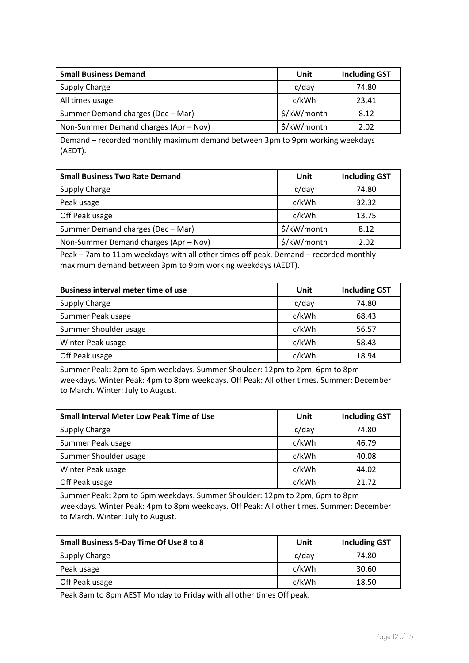| <b>Small Business Demand</b>          | Unit        | <b>Including GST</b> |
|---------------------------------------|-------------|----------------------|
| Supply Charge                         | c/day       | 74.80                |
| All times usage                       | c/kWh       | 23.41                |
| Summer Demand charges (Dec - Mar)     | \$/kW/month | 8.12                 |
| Non-Summer Demand charges (Apr – Nov) | \$/kW/month | 2.02                 |

Demand – recorded monthly maximum demand between 3pm to 9pm working weekdays (AEDT).

| <b>Small Business Two Rate Demand</b> | Unit        | <b>Including GST</b> |
|---------------------------------------|-------------|----------------------|
| <b>Supply Charge</b>                  | $c$ /day    | 74.80                |
| Peak usage                            | c/kWh       | 32.32                |
| Off Peak usage                        | c/kWh       | 13.75                |
| Summer Demand charges (Dec - Mar)     | \$/kW/month | 8.12                 |
| Non-Summer Demand charges (Apr - Nov) | \$/kW/month | 2.02                 |

Peak – 7am to 11pm weekdays with all other times off peak. Demand – recorded monthly maximum demand between 3pm to 9pm working weekdays (AEDT).

| <b>Business interval meter time of use</b> | Unit  | <b>Including GST</b> |
|--------------------------------------------|-------|----------------------|
| Supply Charge                              | c/day | 74.80                |
| Summer Peak usage                          | c/kWh | 68.43                |
| Summer Shoulder usage                      | c/kWh | 56.57                |
| Winter Peak usage                          | c/kWh | 58.43                |
| Off Peak usage                             | c/kWh | 18.94                |

Summer Peak: 2pm to 6pm weekdays. Summer Shoulder: 12pm to 2pm, 6pm to 8pm weekdays. Winter Peak: 4pm to 8pm weekdays. Off Peak: All other times. Summer: December to March. Winter: July to August.

| <b>Small Interval Meter Low Peak Time of Use</b> | Unit     | <b>Including GST</b> |
|--------------------------------------------------|----------|----------------------|
| Supply Charge                                    | $c$ /day | 74.80                |
| Summer Peak usage                                | c/kWh    | 46.79                |
| Summer Shoulder usage                            | c/kWh    | 40.08                |
| Winter Peak usage                                | c/kWh    | 44.02                |
| Off Peak usage                                   | c/kWh    | 21.72                |

Summer Peak: 2pm to 6pm weekdays. Summer Shoulder: 12pm to 2pm, 6pm to 8pm weekdays. Winter Peak: 4pm to 8pm weekdays. Off Peak: All other times. Summer: December to March. Winter: July to August.

| Small Business 5-Day Time Of Use 8 to 8 | Unit  | <b>Including GST</b> |
|-----------------------------------------|-------|----------------------|
| Supply Charge                           | c/day | 74.80                |
| Peak usage                              | c/kWh | 30.60                |
| Off Peak usage                          | c/kWh | 18.50                |

Peak 8am to 8pm AEST Monday to Friday with all other times Off peak.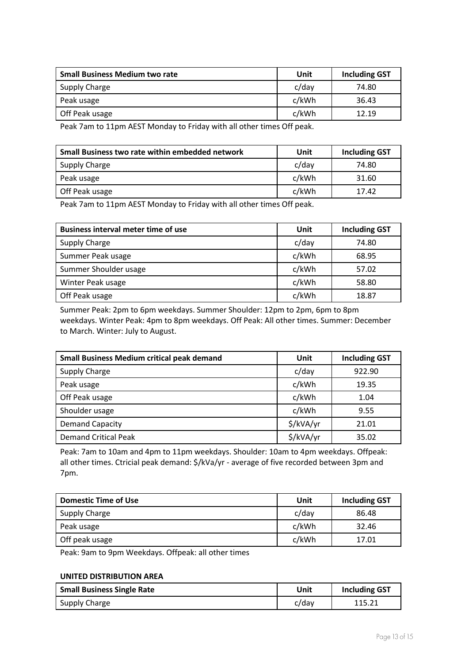| <b>Small Business Medium two rate</b> | Unit     | <b>Including GST</b> |
|---------------------------------------|----------|----------------------|
| Supply Charge                         | $c$ /day | 74.80                |
| Peak usage                            | c/kWh    | 36.43                |
| Off Peak usage                        | c/kWh    | 12.19                |

Peak 7am to 11pm AEST Monday to Friday with all other times Off peak.

| Small Business two rate within embedded network | Unit  | <b>Including GST</b> |
|-------------------------------------------------|-------|----------------------|
| Supply Charge                                   | c/day | 74.80                |
| Peak usage                                      | c/kWh | 31.60                |
| Off Peak usage                                  | c/kWh | 17.42                |

Peak 7am to 11pm AEST Monday to Friday with all other times Off peak.

| <b>Business interval meter time of use</b> | Unit     | <b>Including GST</b> |
|--------------------------------------------|----------|----------------------|
| <b>Supply Charge</b>                       | $c$ /day | 74.80                |
| Summer Peak usage                          | c/kWh    | 68.95                |
| Summer Shoulder usage                      | c/kWh    | 57.02                |
| Winter Peak usage                          | c/kWh    | 58.80                |
| Off Peak usage                             | c/kWh    | 18.87                |

Summer Peak: 2pm to 6pm weekdays. Summer Shoulder: 12pm to 2pm, 6pm to 8pm weekdays. Winter Peak: 4pm to 8pm weekdays. Off Peak: All other times. Summer: December to March. Winter: July to August.

| <b>Small Business Medium critical peak demand</b> | Unit      | <b>Including GST</b> |
|---------------------------------------------------|-----------|----------------------|
| <b>Supply Charge</b>                              | c/day     | 922.90               |
| Peak usage                                        | c/kWh     | 19.35                |
| Off Peak usage                                    | c/kWh     | 1.04                 |
| Shoulder usage                                    | c/kWh     | 9.55                 |
| <b>Demand Capacity</b>                            | \$/kVA/yr | 21.01                |
| <b>Demand Critical Peak</b>                       | \$/kVA/yr | 35.02                |

Peak: 7am to 10am and 4pm to 11pm weekdays. Shoulder: 10am to 4pm weekdays. Offpeak: all other times. Ctricial peak demand: \$/kVa/yr - average of five recorded between 3pm and 7pm.

| <b>Domestic Time of Use</b> | Unit  | <b>Including GST</b> |
|-----------------------------|-------|----------------------|
| <b>Supply Charge</b>        | c/day | 86.48                |
| Peak usage                  | c/kWh | 32.46                |
| Off peak usage              | c/kWh | 17.01                |

Peak: 9am to 9pm Weekdays. Offpeak: all other times

#### **UNITED DISTRIBUTION AREA**

| <b>Small Business Single Rate</b> | Unit  | <b>Including GST</b> |
|-----------------------------------|-------|----------------------|
| Supply Charge                     | c/dav | ⊥⊥J.∠⊥               |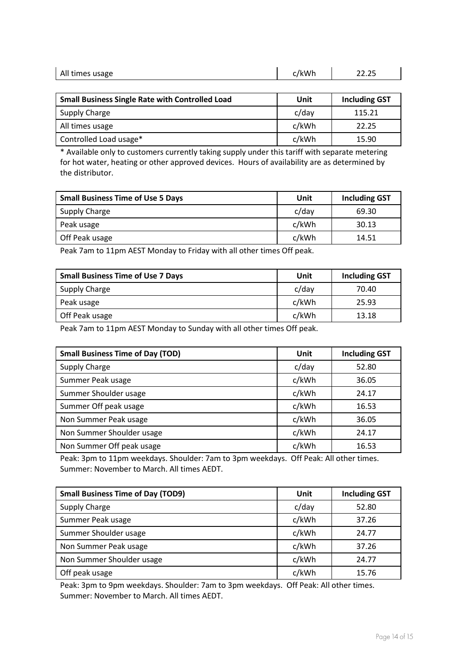| All times usage | 'kWr | $\sim$ $\sim$<br>11.IJ |
|-----------------|------|------------------------|
|                 |      |                        |

| <b>Small Business Single Rate with Controlled Load</b> | Unit  | <b>Including GST</b> |
|--------------------------------------------------------|-------|----------------------|
| Supply Charge                                          | c/day | 115.21               |
| All times usage                                        | c/kWh | 22.25                |
| Controlled Load usage*                                 | c/kWh | 15.90                |

\* Available only to customers currently taking supply under this tariff with separate metering for hot water, heating or other approved devices. Hours of availability are as determined by the distributor.

| <b>Small Business Time of Use 5 Days</b> | Unit  | <b>Including GST</b> |
|------------------------------------------|-------|----------------------|
| Supply Charge                            | c/day | 69.30                |
| Peak usage                               | c/kWh | 30.13                |
| Off Peak usage                           | c/kWh | 14.51                |

Peak 7am to 11pm AEST Monday to Friday with all other times Off peak.

| <b>Small Business Time of Use 7 Days</b> | Unit  | <b>Including GST</b> |
|------------------------------------------|-------|----------------------|
| Supply Charge                            | c/day | 70.40                |
| Peak usage                               | c/kWh | 25.93                |
| Off Peak usage                           | c/kWh | 13.18                |

Peak 7am to 11pm AEST Monday to Sunday with all other times Off peak.

| <b>Small Business Time of Day (TOD)</b> | Unit  | <b>Including GST</b> |
|-----------------------------------------|-------|----------------------|
| <b>Supply Charge</b>                    | c/day | 52.80                |
| Summer Peak usage                       | c/kWh | 36.05                |
| Summer Shoulder usage                   | c/kWh | 24.17                |
| Summer Off peak usage                   | c/kWh | 16.53                |
| Non Summer Peak usage                   | c/kWh | 36.05                |
| Non Summer Shoulder usage               | c/kWh | 24.17                |
| Non Summer Off peak usage               | c/kWh | 16.53                |

Peak: 3pm to 11pm weekdays. Shoulder: 7am to 3pm weekdays. Off Peak: All other times. Summer: November to March. All times AEDT.

| <b>Small Business Time of Day (TOD9)</b> | Unit  | <b>Including GST</b> |
|------------------------------------------|-------|----------------------|
| Supply Charge                            | c/day | 52.80                |
| Summer Peak usage                        | c/kWh | 37.26                |
| Summer Shoulder usage                    | c/kWh | 24.77                |
| Non Summer Peak usage                    | c/kWh | 37.26                |
| Non Summer Shoulder usage                | c/kWh | 24.77                |
| Off peak usage                           | c/kWh | 15.76                |

Peak: 3pm to 9pm weekdays. Shoulder: 7am to 3pm weekdays. Off Peak: All other times. Summer: November to March. All times AEDT.